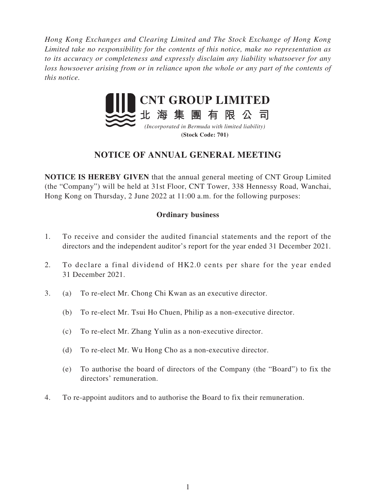*Hong Kong Exchanges and Clearing Limited and The Stock Exchange of Hong Kong Limited take no responsibility for the contents of this notice, make no representation as to its accuracy or completeness and expressly disclaim any liability whatsoever for any loss howsoever arising from or in reliance upon the whole or any part of the contents of this notice.*



### **(Stock Code: 701)**

# **NOTICE OF ANNUAL GENERAL MEETING**

**NOTICE IS HEREBY GIVEN** that the annual general meeting of CNT Group Limited (the "Company") will be held at 31st Floor, CNT Tower, 338 Hennessy Road, Wanchai, Hong Kong on Thursday, 2 June 2022 at 11:00 a.m. for the following purposes:

# **Ordinary business**

- 1. To receive and consider the audited financial statements and the report of the directors and the independent auditor's report for the year ended 31 December 2021.
- 2. To declare a final dividend of HK2.0 cents per share for the year ended 31 December 2021.
- 3. (a) To re-elect Mr. Chong Chi Kwan as an executive director.
	- (b) To re-elect Mr. Tsui Ho Chuen, Philip as a non-executive director.
	- (c) To re-elect Mr. Zhang Yulin as a non-executive director.
	- (d) To re-elect Mr. Wu Hong Cho as a non-executive director.
	- (e) To authorise the board of directors of the Company (the "Board") to fix the directors' remuneration.
- 4. To re-appoint auditors and to authorise the Board to fix their remuneration.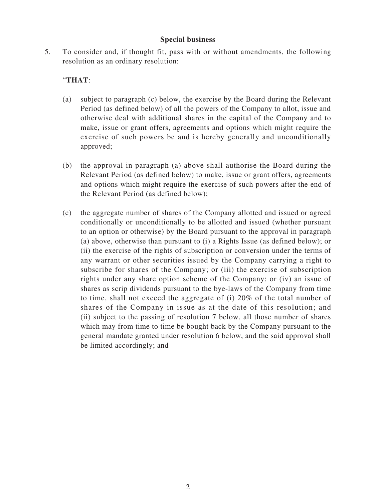#### **Special business**

5. To consider and, if thought fit, pass with or without amendments, the following resolution as an ordinary resolution:

# "**THAT**:

- (a) subject to paragraph (c) below, the exercise by the Board during the Relevant Period (as defined below) of all the powers of the Company to allot, issue and otherwise deal with additional shares in the capital of the Company and to make, issue or grant offers, agreements and options which might require the exercise of such powers be and is hereby generally and unconditionally approved;
- (b) the approval in paragraph (a) above shall authorise the Board during the Relevant Period (as defined below) to make, issue or grant offers, agreements and options which might require the exercise of such powers after the end of the Relevant Period (as defined below);
- (c) the aggregate number of shares of the Company allotted and issued or agreed conditionally or unconditionally to be allotted and issued (whether pursuant to an option or otherwise) by the Board pursuant to the approval in paragraph (a) above, otherwise than pursuant to (i) a Rights Issue (as defined below); or (ii) the exercise of the rights of subscription or conversion under the terms of any warrant or other securities issued by the Company carrying a right to subscribe for shares of the Company; or (iii) the exercise of subscription rights under any share option scheme of the Company; or (iv) an issue of shares as scrip dividends pursuant to the bye-laws of the Company from time to time, shall not exceed the aggregate of (i) 20% of the total number of shares of the Company in issue as at the date of this resolution; and (ii) subject to the passing of resolution 7 below, all those number of shares which may from time to time be bought back by the Company pursuant to the general mandate granted under resolution 6 below, and the said approval shall be limited accordingly; and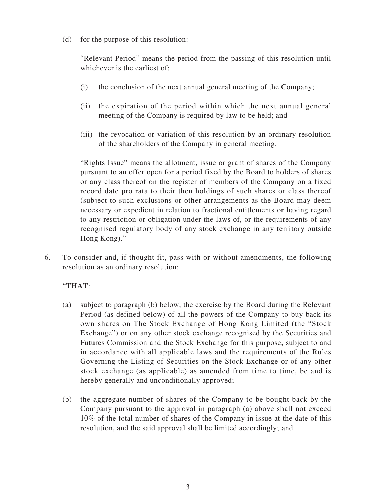(d) for the purpose of this resolution:

"Relevant Period" means the period from the passing of this resolution until whichever is the earliest of:

- (i) the conclusion of the next annual general meeting of the Company;
- (ii) the expiration of the period within which the next annual general meeting of the Company is required by law to be held; and
- (iii) the revocation or variation of this resolution by an ordinary resolution of the shareholders of the Company in general meeting.

"Rights Issue" means the allotment, issue or grant of shares of the Company pursuant to an offer open for a period fixed by the Board to holders of shares or any class thereof on the register of members of the Company on a fixed record date pro rata to their then holdings of such shares or class thereof (subject to such exclusions or other arrangements as the Board may deem necessary or expedient in relation to fractional entitlements or having regard to any restriction or obligation under the laws of, or the requirements of any recognised regulatory body of any stock exchange in any territory outside Hong Kong)."

6. To consider and, if thought fit, pass with or without amendments, the following resolution as an ordinary resolution:

# "**THAT**:

- (a) subject to paragraph (b) below, the exercise by the Board during the Relevant Period (as defined below) of all the powers of the Company to buy back its own shares on The Stock Exchange of Hong Kong Limited (the "Stock Exchange") or on any other stock exchange recognised by the Securities and Futures Commission and the Stock Exchange for this purpose, subject to and in accordance with all applicable laws and the requirements of the Rules Governing the Listing of Securities on the Stock Exchange or of any other stock exchange (as applicable) as amended from time to time, be and is hereby generally and unconditionally approved;
- (b) the aggregate number of shares of the Company to be bought back by the Company pursuant to the approval in paragraph (a) above shall not exceed 10% of the total number of shares of the Company in issue at the date of this resolution, and the said approval shall be limited accordingly; and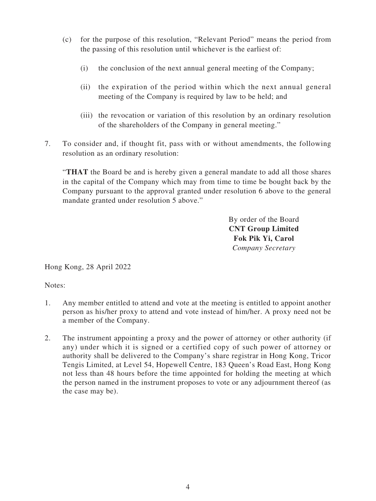- (c) for the purpose of this resolution, "Relevant Period" means the period from the passing of this resolution until whichever is the earliest of:
	- (i) the conclusion of the next annual general meeting of the Company;
	- (ii) the expiration of the period within which the next annual general meeting of the Company is required by law to be held; and
	- (iii) the revocation or variation of this resolution by an ordinary resolution of the shareholders of the Company in general meeting."
- 7. To consider and, if thought fit, pass with or without amendments, the following resolution as an ordinary resolution:

"**THAT** the Board be and is hereby given a general mandate to add all those shares in the capital of the Company which may from time to time be bought back by the Company pursuant to the approval granted under resolution 6 above to the general mandate granted under resolution 5 above."

> By order of the Board **CNT Group Limited Fok Pik Yi, Carol** *Company Secretary*

Hong Kong, 28 April 2022

Notes:

- 1. Any member entitled to attend and vote at the meeting is entitled to appoint another person as his/her proxy to attend and vote instead of him/her. A proxy need not be a member of the Company.
- 2. The instrument appointing a proxy and the power of attorney or other authority (if any) under which it is signed or a certified copy of such power of attorney or authority shall be delivered to the Company's share registrar in Hong Kong, Tricor Tengis Limited, at Level 54, Hopewell Centre, 183 Queen's Road East, Hong Kong not less than 48 hours before the time appointed for holding the meeting at which the person named in the instrument proposes to vote or any adjournment thereof (as the case may be).